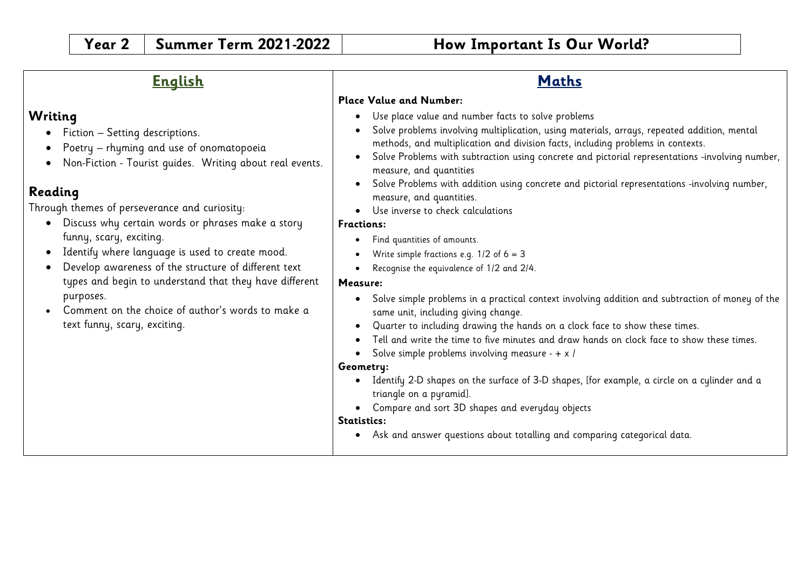## **English**

## **Writing**

- Fiction Setting descriptions.
- Poetry rhyming and use of onomatopoeia
- Non-Fiction Tourist guides. Writing about real events.

# **Reading**

Through themes of perseverance and curiosity:

- Discuss why certain words or phrases make a story funny, scary, exciting.
- Identify where language is used to create mood.
- Develop awareness of the structure of different text types and begin to understand that they have different purposes.
- Comment on the choice of author's words to make a text funny, scary, exciting.

# **Maths**

### **Place Value and Number:**

- Use place value and number facts to solve problems
- Solve problems involving multiplication, using materials, arrays, repeated addition, mental methods, and multiplication and division facts, including problems in contexts.
- Solve Problems with subtraction using concrete and pictorial representations -involving number, measure, and quantities
- Solve Problems with addition using concrete and pictorial representations -involving number, measure, and quantities.
- Use inverse to check calculations

### **Fractions:**

- Find quantities of amounts.
- Write simple fractions e.g.  $1/2$  of  $6 = 3$
- Recognise the equivalence of 1/2 and 2/4.

## **Measure:**

- Solve simple problems in a practical context involving addition and subtraction of money of the same unit, including giving change.
- Quarter to including drawing the hands on a clock face to show these times.
- Tell and write the time to five minutes and draw hands on clock face to show these times.
- Solve simple problems involving measure  $+ x /$

## **Geometry:**

- Identify 2-D shapes on the surface of 3-D shapes, [for example, a circle on a cylinder and a triangle on a pyramid].
- Compare and sort 3D shapes and everyday objects

### **Statistics:**

• Ask and answer questions about totalling and comparing categorical data.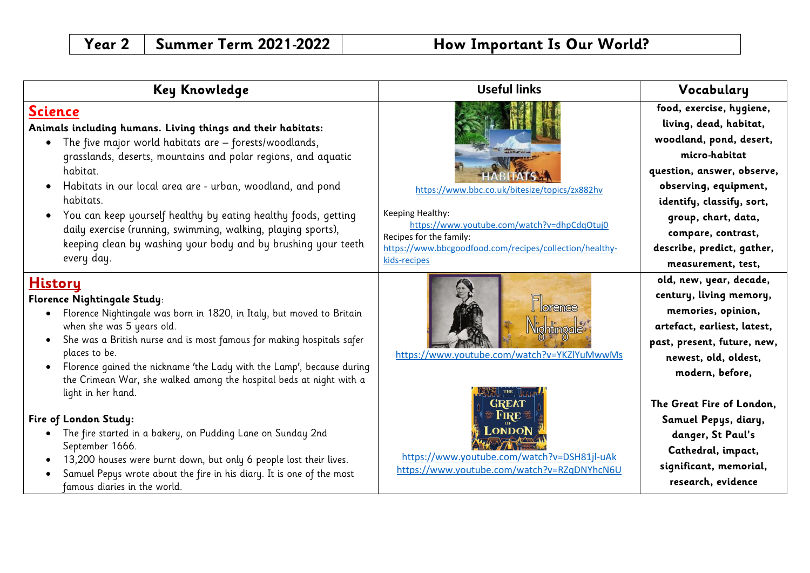| Key Knowledge                                                                                                                                                                                                                                                                                                                                                                                                                                                                                                                                                                                                                                                                                                                                        | <b>Useful links</b>                                                                                                                                                                                                    | Vocabulary                                                                                                                                                                                                                                                                                                                        |
|------------------------------------------------------------------------------------------------------------------------------------------------------------------------------------------------------------------------------------------------------------------------------------------------------------------------------------------------------------------------------------------------------------------------------------------------------------------------------------------------------------------------------------------------------------------------------------------------------------------------------------------------------------------------------------------------------------------------------------------------------|------------------------------------------------------------------------------------------------------------------------------------------------------------------------------------------------------------------------|-----------------------------------------------------------------------------------------------------------------------------------------------------------------------------------------------------------------------------------------------------------------------------------------------------------------------------------|
| <b>Science</b><br>Animals including humans. Living things and their habitats:<br>• The five major world habitats are - forests/woodlands,<br>grasslands, deserts, mountains and polar regions, and aquatic<br>habitat.<br>Habitats in our local area are - urban, woodland, and pond<br>$\bullet$<br>habitats.<br>You can keep yourself healthy by eating healthy foods, getting<br>daily exercise (running, swimming, walking, playing sports),<br>keeping clean by washing your body and by brushing your teeth<br>every day.                                                                                                                                                                                                                      | https://www.bbc.co.uk/bitesize/topics/zx882hv<br>Keeping Healthy:<br>https://www.youtube.com/watch?v=dhpCdqOtuj0<br>Recipes for the family:<br>https://www.bbcgoodfood.com/recipes/collection/healthy-<br>kids-recipes | food, exercise, hygiene,<br>living, dead, habitat,<br>woodland, pond, desert,<br>micro-habitat<br>question, answer, observe,<br>observing, equipment,<br>identify, classify, sort,<br>group, chart, data,<br>compare, contrast,<br>describe, predict, gather,<br>measurement, test,                                               |
| <b>History</b><br>Florence Nightingale Study:<br>Florence Nightingale was born in 1820, in Italy, but moved to Britain<br>$\bullet$<br>when she was 5 years old.<br>She was a British nurse and is most famous for making hospitals safer<br>places to be.<br>Florence gained the nickname 'the Lady with the Lamp', because during<br>the Crimean War, she walked among the hospital beds at night with a<br>light in her hand.<br>Fire of London Study:<br>The fire started in a bakery, on Pudding Lane on Sunday 2nd<br>$\bullet$<br>September 1666.<br>13,200 houses were burnt down, but only 6 people lost their lives.<br>$\bullet$<br>Samuel Pepys wrote about the fire in his diary. It is one of the most<br>famous diaries in the world. | lorrance<br>https://www.youtube.com/watch?v=YKZlYuMwwMs<br>https://www.youtube.com/watch?v=DSH81jl-uAk<br>https://www.youtube.com/watch?v=RZqDNYhcN6U                                                                  | old, new, year, decade,<br>century, living memory,<br>memories, opinion,<br>artefact, earliest, latest,<br>past, present, future, new,<br>newest, old, oldest,<br>modern, before,<br>The Great Fire of London.<br>Samuel Pepys, diary,<br>danger, St Paul's<br>Cathedral, impact,<br>significant, memorial,<br>research, evidence |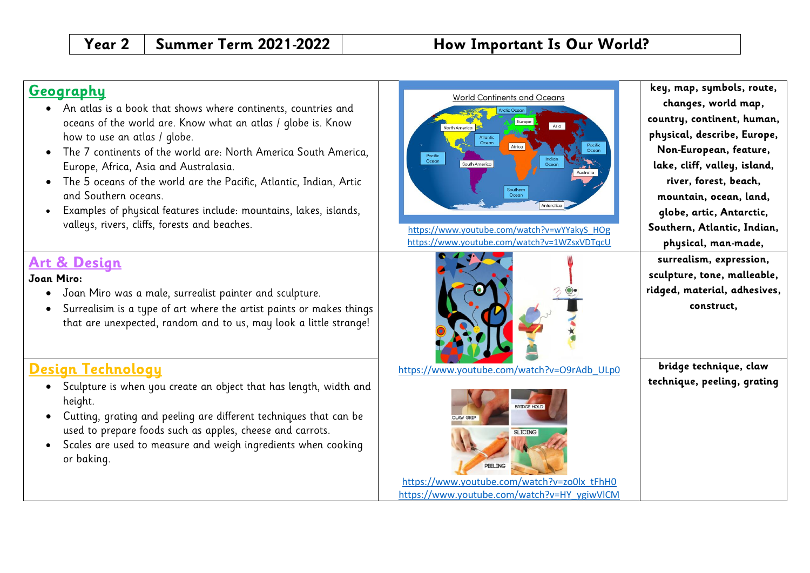## **Geography**

- An atlas is a book that shows where continents, countries and oceans of the world are. Know what an atlas / globe is. Know how to use an atlas / globe.
- The 7 continents of the world are: North America South America, Europe, Africa, Asia and Australasia.
- The 5 oceans of the world are the Pacific, Atlantic, Indian, Artic and Southern oceans.
- Examples of physical features include: mountains, lakes, islands, valleys, rivers, cliffs, forests and beaches.

# **Art & Design**

### **Joan Miro:**

- Joan Miro was a male, surrealist painter and sculpture.
- Surrealisim is a type of art where the artist paints or makes things that are unexpected, random and to us, may look a little strange!

# **Design Technology**

- Sculpture is when you create an object that has length, width and height.
- Cutting, grating and peeling are different techniques that can be used to prepare foods such as apples, cheese and carrots.
- Scales are used to measure and weigh ingredients when cooking or baking.





[https://www.youtube.com/watch?v=O9rAdb\\_ULp0](https://www.youtube.com/watch?v=O9rAdb_ULp0)



[https://www.youtube.com/watch?v=zo0lx\\_tFhH0](https://www.youtube.com/watch?v=zo0lx_tFhH0) [https://www.youtube.com/watch?v=HY\\_ygiwVlCM](https://www.youtube.com/watch?v=HY_ygiwVlCM)

**key, map, symbols, route, changes, world map, country, continent, human, physical, describe, Europe, Non-European, feature, lake, cliff, valley, island, river, forest, beach, mountain, ocean, land, globe, artic, Antarctic, Southern, Atlantic, Indian, physical, man-made, surrealism, expression, sculpture, tone, malleable, ridged, material, adhesives, construct,**

**bridge technique, claw technique, peeling, grating**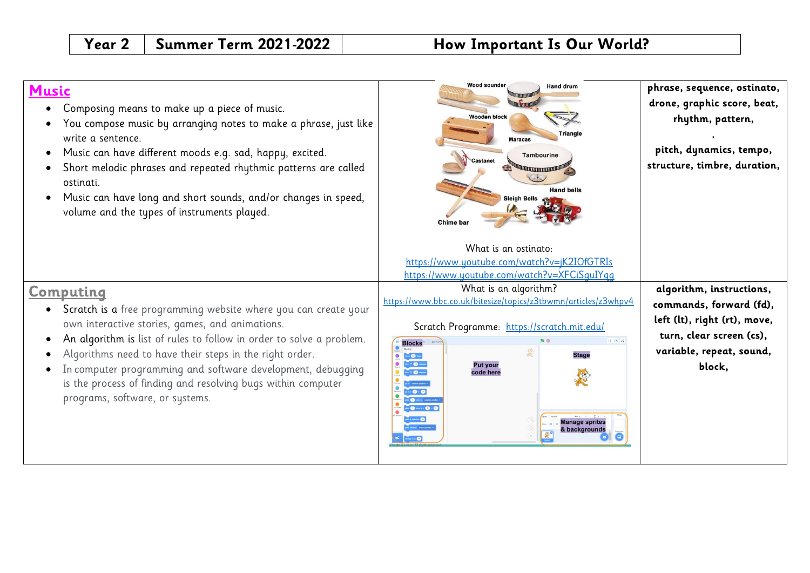| <b>Music</b><br>Composing means to make up a piece of music.<br>You compose music by arranging notes to make a phrase, just like<br>write a sentence.<br>Music can have different moods e.g. sad, happy, excited.<br>$\bullet$<br>Short melodic phrases and repeated rhythmic patterns are called<br>ostinati.<br>Music can have long and short sounds, and/or changes in speed,<br>volume and the types of instruments played.      | <b>Wood sounder</b><br><b>Hand drum</b><br><b>Wooden block</b><br>Triangle<br>Maracas<br><b>Tambourine</b><br>Castanet<br><b>Hand bells</b><br><b>Sleigh Bells</b><br>Chime bar                                                                                                                                                                                                                                                                                                                                                                                                                                                                                                                                                                                                                                                                                                                            | phrase, sequence, ostinato,<br>drone, graphic score, beat,<br>rhythm, pattern,<br>pitch, dynamics, tempo,<br>structure, timbre, duration,             |
|--------------------------------------------------------------------------------------------------------------------------------------------------------------------------------------------------------------------------------------------------------------------------------------------------------------------------------------------------------------------------------------------------------------------------------------|------------------------------------------------------------------------------------------------------------------------------------------------------------------------------------------------------------------------------------------------------------------------------------------------------------------------------------------------------------------------------------------------------------------------------------------------------------------------------------------------------------------------------------------------------------------------------------------------------------------------------------------------------------------------------------------------------------------------------------------------------------------------------------------------------------------------------------------------------------------------------------------------------------|-------------------------------------------------------------------------------------------------------------------------------------------------------|
| Computing<br>Scratch is a free programming website where you can create your<br>own interactive stories, games, and animations.<br>An algorithm is list of rules to follow in order to solve a problem.<br>Algorithms need to have their steps in the right order.<br>In computer programming and software development, debugging<br>is the process of finding and resolving bugs within computer<br>programs, software, or systems. | What is an ostinato:<br>https://www.youtube.com/watch?v=jK2IOfGTRIs<br>https://www.youtube.com/watch?v=XFCiSquIYqq<br>What is an algorithm?<br>https://www.bbc.co.uk/bitesize/topics/z3tbwmn/articles/z3whpv4<br>Scratch Programme: https://scratch.mit.edu/<br><b>TOM</b><br><b>Blocks</b><br><b>Stage</b><br>$\bullet$<br>$\begin{picture}(20,20) \put(0,0){\dashbox{0.5}(5,0){ }} \put(15,0){\circle{10}} \put(25,0){\circle{10}} \put(25,0){\circle{10}} \put(25,0){\circle{10}} \put(25,0){\circle{10}} \put(25,0){\circle{10}} \put(25,0){\circle{10}} \put(25,0){\circle{10}} \put(25,0){\circle{10}} \put(25,0){\circle{10}} \put(25,0){\circle{10}} \put(25,0){\circle{10}} \put(25,0){\circle{10}} \put(25,0$<br><b>CO</b><br><b>Put your</b><br>. <b>0</b> mm<br>code here<br>$-0.0$<br><b>O</b> mote contexts<br>$\bullet$ 0 $\bullet$ 0 $\bullet$ 0<br><b>Manage sprites</b><br>& backgrounds | algorithm, instructions,<br>commands, forward (fd),<br>left (lt), right (rt), move,<br>turn, clear screen (cs),<br>variable, repeat, sound,<br>block, |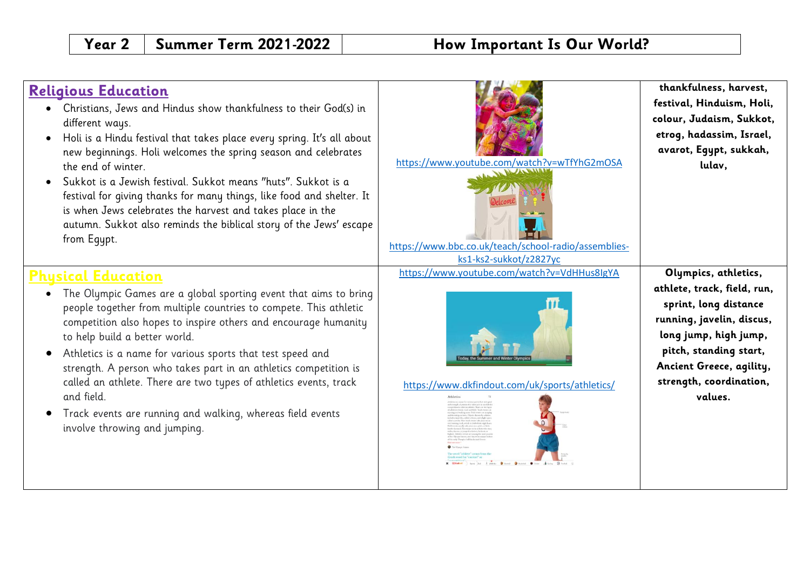# **Religious Education**

- Christians, Jews and Hindus show thankfulness to their God(s) in different ways.
- Holi is a Hindu festival that takes place every spring. It's all about new beginnings. Holi welcomes the spring season and celebrates the end of winter.
- Sukkot is a Jewish festival. Sukkot means "huts". Sukkot is a festival for giving thanks for many things, like food and shelter. It is when Jews celebrates the harvest and takes place in the autumn. Sukkot also reminds the biblical story of the Jews' escape from Equpt.

# **Physical Education**

- The Olympic Games are a global sporting event that aims to bring people together from multiple countries to compete. This athletic competition also hopes to inspire others and encourage humanity to help build a better world.
- Athletics is a name for various sports that test speed and strength. A person who takes part in an athletics competition is called an athlete. There are two types of athletics events, track and field.
- Track events are running and walking, whereas field events involve throwing and jumping.